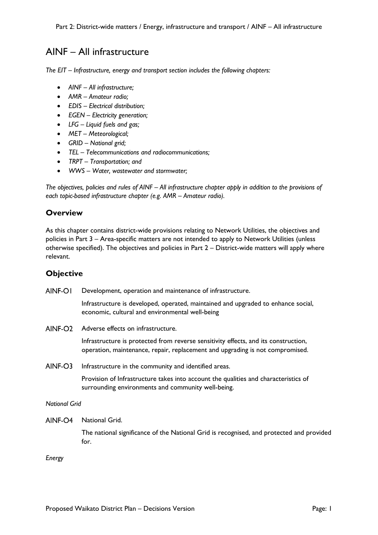# AINF – All infrastructure

*The EIT – Infrastructure, energy and transport section includes the following chapters:*

- *AINF All infrastructure;*
- *AMR Amateur radio;*
- *EDIS Electrical distribution;*
- *EGEN Electricity generation;*
- *LFG Liquid fuels and gas;*
- *MET Meteorological;*
- *GRID National grid;*
- *TEL Telecommunications and radiocommunications;*
- *TRPT Transportation; and*
- *WWS Water, wastewater and stormwater;*

*The objectives, policies and rules of AINF – All infrastructure chapter apply in addition to the provisions of each topic-based infrastructure chapter (e.g. AMR – Amateur radio).*

# **Overview**

As this chapter contains district-wide provisions relating to Network Utilities, the objectives and policies in Part 3 – Area-specific matters are not intended to apply to Network Utilities (unless otherwise specified). The objectives and policies in Part 2 – District-wide matters will apply where relevant.

## **Objective**

AINF-OI Development, operation and maintenance of infrastructure.

> Infrastructure is developed, operated, maintained and upgraded to enhance social, economic, cultural and environmental well-being

AINF-O<sub>2</sub> Adverse effects on infrastructure.

> Infrastructure is protected from reverse sensitivity effects, and its construction, operation, maintenance, repair, replacement and upgrading is not compromised.

 $AINE-O3$ Infrastructure in the community and identified areas.

> Provision of Infrastructure takes into account the qualities and characteristics of surrounding environments and community well-being.

*National Grid*

AINF-O4 National Grid.

The national significance of the National Grid is recognised, and protected and provided for.

*Energy*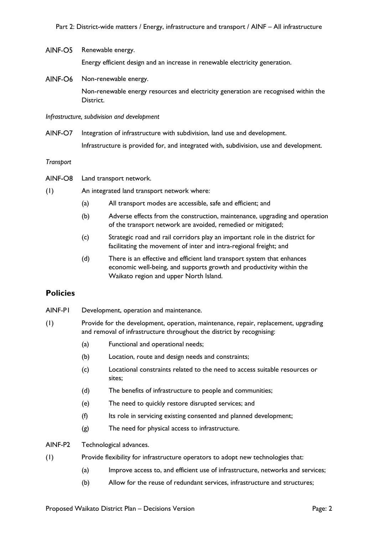### AINF-O5 Renewable energy.

Energy efficient design and an increase in renewable electricity generation.

AINF-O6 Non-renewable energy.

> Non-renewable energy resources and electricity generation are recognised within the District.

*Infrastructure, subdivision and development*

AINF-O7 Integration of infrastructure with subdivision, land use and development. Infrastructure is provided for, and integrated with, subdivision, use and development.

*Transport*

- AINF-O8 Land transport network.
- (1) An integrated land transport network where:
	- (a) All transport modes are accessible, safe and efficient; and
	- (b) Adverse effects from the construction, maintenance, upgrading and operation of the transport network are avoided, remedied or mitigated;
	- (c) Strategic road and rail corridors play an important role in the district for facilitating the movement of inter and intra-regional freight; and
	- (d) There is an effective and efficient land transport system that enhances economic well-being, and supports growth and productivity within the Waikato region and upper North Island.

## **Policies**

- AINF-P1 Development, operation and maintenance.
- (1) Provide for the development, operation, maintenance, repair, replacement, upgrading and removal of infrastructure throughout the district by recognising:
	- (a) Functional and operational needs;
	- (b) Location, route and design needs and constraints;
	- (c) Locational constraints related to the need to access suitable resources or sites;
	- (d) The benefits of infrastructure to people and communities;
	- (e) The need to quickly restore disrupted services; and
	- (f) Its role in servicing existing consented and planned development;
	- (g) The need for physical access to infrastructure.

## AINF-P2 Technological advances.

- (1) Provide flexibility for infrastructure operators to adopt new technologies that:
	- (a) Improve access to, and efficient use of infrastructure, networks and services;
	- (b) Allow for the reuse of redundant services, infrastructure and structures;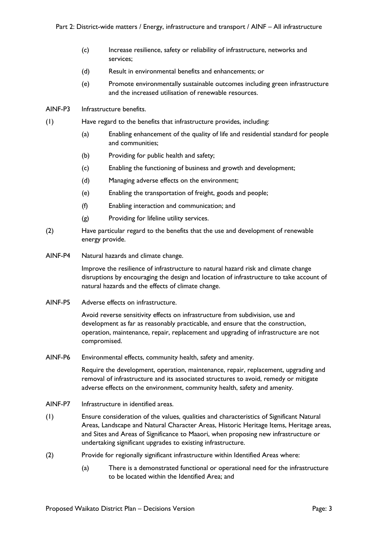- (c) Increase resilience, safety or reliability of infrastructure, networks and services;
- (d) Result in environmental benefits and enhancements; or
- (e) Promote environmentally sustainable outcomes including green infrastructure and the increased utilisation of renewable resources.
- AINF-P3 Infrastructure benefits.
- (1) Have regard to the benefits that infrastructure provides, including:
	- (a) Enabling enhancement of the quality of life and residential standard for people and communities;
	- (b) Providing for public health and safety;
	- (c) Enabling the functioning of business and growth and development;
	- (d) Managing adverse effects on the environment;
	- (e) Enabling the transportation of freight, goods and people;
	- (f) Enabling interaction and communication; and
	- (g) Providing for lifeline utility services.
- (2) Have particular regard to the benefits that the use and development of renewable energy provide.
- AINF-P4 Natural hazards and climate change.

Improve the resilience of infrastructure to natural hazard risk and climate change disruptions by encouraging the design and location of infrastructure to take account of natural hazards and the effects of climate change.

AINF-P5 Adverse effects on infrastructure.

Avoid reverse sensitivity effects on infrastructure from subdivision, use and development as far as reasonably practicable, and ensure that the construction, operation, maintenance, repair, replacement and upgrading of infrastructure are not compromised.

AINF-P6 Environmental effects, community health, safety and amenity.

Require the development, operation, maintenance, repair, replacement, upgrading and removal of infrastructure and its associated structures to avoid, remedy or mitigate adverse effects on the environment, community health, safety and amenity.

- AINF-P7 Infrastructure in identified areas.
- (1) Ensure consideration of the values, qualities and characteristics of Significant Natural Areas, Landscape and Natural Character Areas, Historic Heritage Items, Heritage areas, and Sites and Areas of Significance to Maaori, when proposing new infrastructure or undertaking significant upgrades to existing infrastructure.
- (2) Provide for regionally significant infrastructure within Identified Areas where:
	- (a) There is a demonstrated functional or operational need for the infrastructure to be located within the Identified Area; and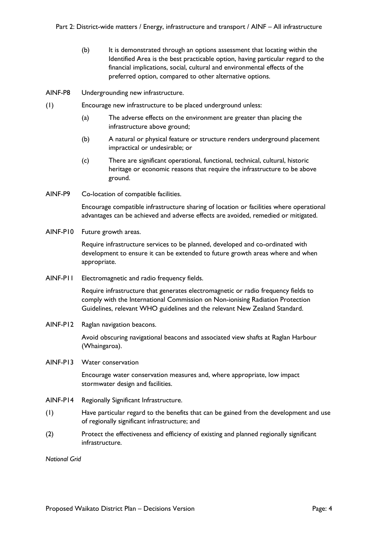- (b) It is demonstrated through an options assessment that locating within the Identified Area is the best practicable option, having particular regard to the financial implications, social, cultural and environmental effects of the preferred option, compared to other alternative options.
- AINF-P8 Undergrounding new infrastructure.
- (1) Encourage new infrastructure to be placed underground unless:
	- (a) The adverse effects on the environment are greater than placing the infrastructure above ground;
	- (b) A natural or physical feature or structure renders underground placement impractical or undesirable; or
	- (c) There are significant operational, functional, technical, cultural, historic heritage or economic reasons that require the infrastructure to be above ground.
- AINF-P9 Co-location of compatible facilities.

Encourage compatible infrastructure sharing of location or facilities where operational advantages can be achieved and adverse effects are avoided, remedied or mitigated.

AINF-P10 Future growth areas.

Require infrastructure services to be planned, developed and co-ordinated with development to ensure it can be extended to future growth areas where and when appropriate.

AINF-P11 Electromagnetic and radio frequency fields.

Require infrastructure that generates electromagnetic or radio frequency fields to comply with the International Commission on Non-ionising Radiation Protection Guidelines, relevant WHO guidelines and the relevant New Zealand Standard.

AINF-P12 Raglan navigation beacons.

Avoid obscuring navigational beacons and associated view shafts at Raglan Harbour (Whaingaroa).

AINF-P13 Water conservation

Encourage water conservation measures and, where appropriate, low impact stormwater design and facilities.

- AINF-P14 Regionally Significant Infrastructure.
- (1) Have particular regard to the benefits that can be gained from the development and use of regionally significant infrastructure; and
- (2) Protect the effectiveness and efficiency of existing and planned regionally significant infrastructure.

*National Grid*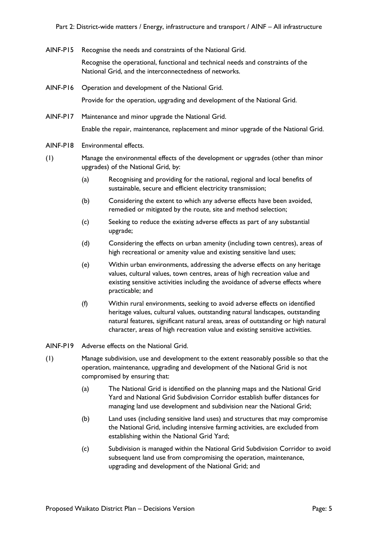AINF-P15 Recognise the needs and constraints of the National Grid.

Recognise the operational, functional and technical needs and constraints of the National Grid, and the interconnectedness of networks.

AINF-P16 Operation and development of the National Grid.

Provide for the operation, upgrading and development of the National Grid.

AINF-P17 Maintenance and minor upgrade the National Grid.

Enable the repair, maintenance, replacement and minor upgrade of the National Grid.

- AINF-P18 Environmental effects.
- (1) Manage the environmental effects of the development or upgrades (other than minor upgrades) of the National Grid, by:
	- (a) Recognising and providing for the national, regional and local benefits of sustainable, secure and efficient electricity transmission;
	- (b) Considering the extent to which any adverse effects have been avoided, remedied or mitigated by the route, site and method selection;
	- (c) Seeking to reduce the existing adverse effects as part of any substantial upgrade;
	- (d) Considering the effects on urban amenity (including town centres), areas of high recreational or amenity value and existing sensitive land uses;
	- (e) Within urban environments, addressing the adverse effects on any heritage values, cultural values, town centres, areas of high recreation value and existing sensitive activities including the avoidance of adverse effects where practicable; and
	- (f) Within rural environments, seeking to avoid adverse effects on identified heritage values, cultural values, outstanding natural landscapes, outstanding natural features, significant natural areas, areas of outstanding or high natural character, areas of high recreation value and existing sensitive activities.
- AINF-P19 Adverse effects on the National Grid.
- (1) Manage subdivision, use and development to the extent reasonably possible so that the operation, maintenance, upgrading and development of the National Grid is not compromised by ensuring that:
	- (a) The National Grid is identified on the planning maps and the National Grid Yard and National Grid Subdivision Corridor establish buffer distances for managing land use development and subdivision near the National Grid;
	- (b) Land uses (including sensitive land uses) and structures that may compromise the National Grid, including intensive farming activities, are excluded from establishing within the National Grid Yard;
	- (c) Subdivision is managed within the National Grid Subdivision Corridor to avoid subsequent land use from compromising the operation, maintenance, upgrading and development of the National Grid; and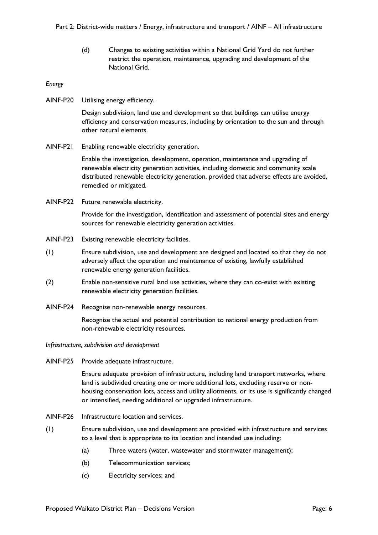(d) Changes to existing activities within a National Grid Yard do not further restrict the operation, maintenance, upgrading and development of the National Grid.

## *Energy*

AINF-P20 Utilising energy efficiency.

Design subdivision, land use and development so that buildings can utilise energy efficiency and conservation measures, including by orientation to the sun and through other natural elements.

AINF-P21 Enabling renewable electricity generation.

Enable the investigation, development, operation, maintenance and upgrading of renewable electricity generation activities, including domestic and community scale distributed renewable electricity generation, provided that adverse effects are avoided, remedied or mitigated.

AINF-P22 Future renewable electricity.

Provide for the investigation, identification and assessment of potential sites and energy sources for renewable electricity generation activities.

- AINF-P23 Existing renewable electricity facilities.
- (1) Ensure subdivision, use and development are designed and located so that they do not adversely affect the operation and maintenance of existing, lawfully established renewable energy generation facilities.
- (2) Enable non-sensitive rural land use activities, where they can co-exist with existing renewable electricity generation facilities.
- AINF-P24 Recognise non-renewable energy resources.

Recognise the actual and potential contribution to national energy production from non-renewable electricity resources.

*Infrastructure, subdivision and development*

AINF-P25 Provide adequate infrastructure.

Ensure adequate provision of infrastructure, including land transport networks, where land is subdivided creating one or more additional lots, excluding reserve or nonhousing conservation lots, access and utility allotments, or its use is significantly changed or intensified, needing additional or upgraded infrastructure.

- AINF-P26 Infrastructure location and services.
- (1) Ensure subdivision, use and development are provided with infrastructure and services to a level that is appropriate to its location and intended use including:
	- (a) Three waters (water, wastewater and stormwater management);
	- (b) Telecommunication services;
	- (c) Electricity services; and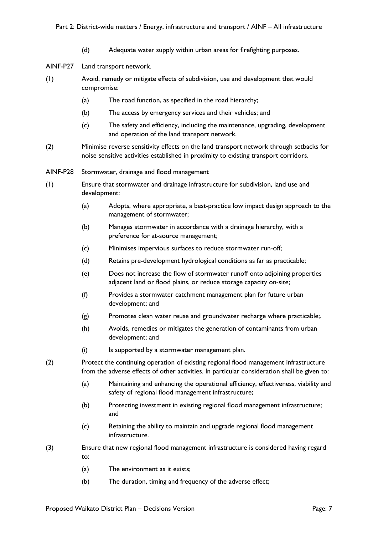(d) Adequate water supply within urban areas for firefighting purposes.

AINF-P27 Land transport network.

- (1) Avoid, remedy or mitigate effects of subdivision, use and development that would compromise:
	- (a) The road function, as specified in the road hierarchy;
	- (b) The access by emergency services and their vehicles; and
	- (c) The safety and efficiency, including the maintenance, upgrading, development and operation of the land transport network.
- (2) Minimise reverse sensitivity effects on the land transport network through setbacks for noise sensitive activities established in proximity to existing transport corridors.
- AINF-P28 Stormwater, drainage and flood management
- (1) Ensure that stormwater and drainage infrastructure for subdivision, land use and development:
	- (a) Adopts, where appropriate, a best-practice low impact design approach to the management of stormwater;
	- (b) Manages stormwater in accordance with a drainage hierarchy, with a preference for at-source management;
	- (c) Minimises impervious surfaces to reduce stormwater run-off;
	- (d) Retains pre-development hydrological conditions as far as practicable;
	- (e) Does not increase the flow of stormwater runoff onto adjoining properties adjacent land or flood plains, or reduce storage capacity on-site;
	- (f) Provides a stormwater catchment management plan for future urban development; and
	- (g) Promotes clean water reuse and groundwater recharge where practicable;.
	- (h) Avoids, remedies or mitigates the generation of contaminants from urban development; and
	- (i) Is supported by a stormwater management plan.
- (2) Protect the continuing operation of existing regional flood management infrastructure from the adverse effects of other activities. In particular consideration shall be given to:
	- (a) Maintaining and enhancing the operational efficiency, effectiveness, viability and safety of regional flood management infrastructure;
	- (b) Protecting investment in existing regional flood management infrastructure; and
	- (c) Retaining the ability to maintain and upgrade regional flood management infrastructure.
- (3) Ensure that new regional flood management infrastructure is considered having regard to:
	- (a) The environment as it exists;
	- (b) The duration, timing and frequency of the adverse effect;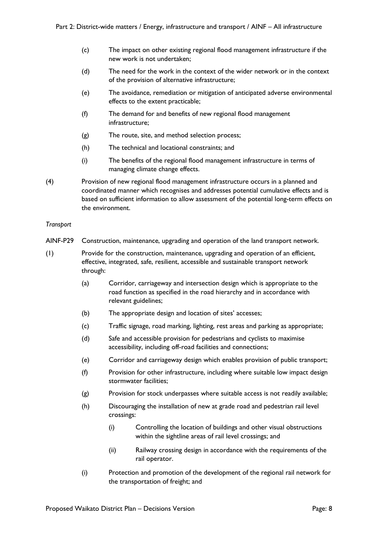- (c) The impact on other existing regional flood management infrastructure if the new work is not undertaken;
- (d) The need for the work in the context of the wider network or in the context of the provision of alternative infrastructure;
- (e) The avoidance, remediation or mitigation of anticipated adverse environmental effects to the extent practicable;
- (f) The demand for and benefits of new regional flood management infrastructure;
- (g) The route, site, and method selection process;
- (h) The technical and locational constraints; and
- (i) The benefits of the regional flood management infrastructure in terms of managing climate change effects.
- (4) Provision of new regional flood management infrastructure occurs in a planned and coordinated manner which recognises and addresses potential cumulative effects and is based on sufficient information to allow assessment of the potential long-term effects on the environment.

## *Transport*

- AINF-P29 Construction, maintenance, upgrading and operation of the land transport network.
- (1) Provide for the construction, maintenance, upgrading and operation of an efficient, effective, integrated, safe, resilient, accessible and sustainable transport network through:
	- (a) Corridor, carriageway and intersection design which is appropriate to the road function as specified in the road hierarchy and in accordance with relevant guidelines;
	- (b) The appropriate design and location of sites' accesses;
	- (c) Traffic signage, road marking, lighting, rest areas and parking as appropriate;
	- (d) Safe and accessible provision for pedestrians and cyclists to maximise accessibility, including off-road facilities and connections;
	- (e) Corridor and carriageway design which enables provision of public transport;
	- (f) Provision for other infrastructure, including where suitable low impact design stormwater facilities;
	- (g) Provision for stock underpasses where suitable access is not readily available;
	- (h) Discouraging the installation of new at grade road and pedestrian rail level crossings:
		- (i) Controlling the location of buildings and other visual obstructions within the sightline areas of rail level crossings; and
		- (ii) Railway crossing design in accordance with the requirements of the rail operator.
	- (i) Protection and promotion of the development of the regional rail network for the transportation of freight; and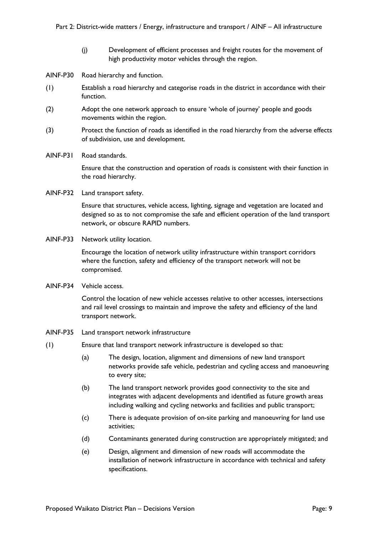(j) Development of efficient processes and freight routes for the movement of high productivity motor vehicles through the region.

AINF-P30 Road hierarchy and function.

- (1) Establish a road hierarchy and categorise roads in the district in accordance with their function.
- (2) Adopt the one network approach to ensure 'whole of journey' people and goods movements within the region.
- (3) Protect the function of roads as identified in the road hierarchy from the adverse effects of subdivision, use and development.
- AINF-P31 Road standards.

Ensure that the construction and operation of roads is consistent with their function in the road hierarchy.

AINF-P32 Land transport safety.

Ensure that structures, vehicle access, lighting, signage and vegetation are located and designed so as to not compromise the safe and efficient operation of the land transport network, or obscure RAPID numbers.

AINF-P33 Network utility location.

Encourage the location of network utility infrastructure within transport corridors where the function, safety and efficiency of the transport network will not be compromised.

AINF-P34 Vehicle access.

Control the location of new vehicle accesses relative to other accesses, intersections and rail level crossings to maintain and improve the safety and efficiency of the land transport network.

- AINF-P35 Land transport network infrastructure
- (1) Ensure that land transport network infrastructure is developed so that:
	- (a) The design, location, alignment and dimensions of new land transport networks provide safe vehicle, pedestrian and cycling access and manoeuvring to every site;
	- (b) The land transport network provides good connectivity to the site and integrates with adjacent developments and identified as future growth areas including walking and cycling networks and facilities and public transport;
	- (c) There is adequate provision of on-site parking and manoeuvring for land use activities;
	- (d) Contaminants generated during construction are appropriately mitigated; and
	- (e) Design, alignment and dimension of new roads will accommodate the installation of network infrastructure in accordance with technical and safety specifications.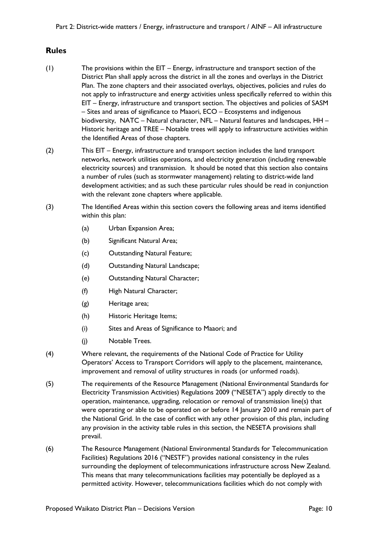# **Rules**

- (1) The provisions within the EIT Energy, infrastructure and transport section of the District Plan shall apply across the district in all the zones and overlays in the District Plan. The zone chapters and their associated overlays, objectives, policies and rules do not apply to infrastructure and energy activities unless specifically referred to within this EIT – Energy, infrastructure and transport section. The objectives and policies of SASM – Sites and areas of significance to Maaori, ECO – Ecosystems and indigenous biodiversity, NATC – Natural character, NFL – Natural features and landscapes, HH – Historic heritage and TREE – Notable trees will apply to infrastructure activities within the Identified Areas of those chapters.
- (2) This EIT Energy, infrastructure and transport section includes the land transport networks, network utilities operations, and electricity generation (including renewable electricity sources) and transmission. It should be noted that this section also contains a number of rules (such as stormwater management) relating to district-wide land development activities; and as such these particular rules should be read in conjunction with the relevant zone chapters where applicable.
- (3) The Identified Areas within this section covers the following areas and items identified within this plan:
	- (a) Urban Expansion Area;
	- (b) Significant Natural Area;
	- (c) Outstanding Natural Feature;
	- (d) Outstanding Natural Landscape;
	- (e) Outstanding Natural Character;
	- (f) High Natural Character;
	- (g) Heritage area;
	- (h) Historic Heritage Items;
	- (i) Sites and Areas of Significance to Maaori; and
	- (j) Notable Trees.
- (4) Where relevant, the requirements of the National Code of Practice for Utility Operators' Access to Transport Corridors will apply to the placement, maintenance, improvement and removal of utility structures in roads (or unformed roads).
- (5) The requirements of the Resource Management (National Environmental Standards for Electricity Transmission Activities) Regulations 2009 ("NESETA") apply directly to the operation, maintenance, upgrading, relocation or removal of transmission line(s) that were operating or able to be operated on or before 14 January 2010 and remain part of the National Grid. In the case of conflict with any other provision of this plan, including any provision in the activity table rules in this section, the NESETA provisions shall prevail.
- (6) The Resource Management (National Environmental Standards for Telecommunication Facilities) Regulations 2016 ("NESTF") provides national consistency in the rules surrounding the deployment of telecommunications infrastructure across New Zealand. This means that many telecommunications facilities may potentially be deployed as a permitted activity. However, telecommunications facilities which do not comply with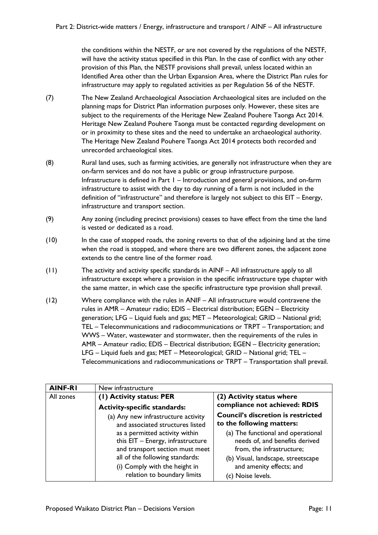the conditions within the NESTF, or are not covered by the regulations of the NESTF, will have the activity status specified in this Plan. In the case of conflict with any other provision of this Plan, the NESTF provisions shall prevail, unless located within an Identified Area other than the Urban Expansion Area, where the District Plan rules for infrastructure may apply to regulated activities as per Regulation 56 of the NESTF.

- (7) The New Zealand Archaeological Association Archaeological sites are included on the planning maps for District Plan information purposes only. However, these sites are subject to the requirements of the Heritage New Zealand Pouhere Taonga Act 2014. Heritage New Zealand Pouhere Taonga must be contacted regarding development on or in proximity to these sites and the need to undertake an archaeological authority. The Heritage New Zealand Pouhere Taonga Act 2014 protects both recorded and unrecorded archaeological sites.
- (8) Rural land uses, such as farming activities, are generally not infrastructure when they are on-farm services and do not have a public or group infrastructure purpose. Infrastructure is defined in Part 1 – Introduction and general provisions, and on-farm infrastructure to assist with the day to day running of a farm is not included in the definition of "infrastructure" and therefore is largely not subject to this EIT – Energy, infrastructure and transport section.
- (9) Any zoning (including precinct provisions) ceases to have effect from the time the land is vested or dedicated as a road.
- (10) In the case of stopped roads, the zoning reverts to that of the adjoining land at the time when the road is stopped, and where there are two different zones, the adjacent zone extends to the centre line of the former road.
- (11) The activity and activity specific standards in AINF All infrastructure apply to all infrastructure except where a provision in the specific infrastructure type chapter with the same matter, in which case the specific infrastructure type provision shall prevail.
- (12) Where compliance with the rules in ANIF All infrastructure would contravene the rules in AMR – Amateur radio; EDIS – Electrical distribution; EGEN – Electricity generation; LFG – Liquid fuels and gas; MET – Meteorological; GRID – National grid; TEL – Telecommunications and radiocommunications or TRPT – Transportation; and WWS – Water, wastewater and stormwater, then the requirements of the rules in AMR – Amateur radio; EDIS – Electrical distribution; EGEN – Electricity generation; LFG – Liquid fuels and gas; MET – Meteorological; GRID – National grid; TEL – Telecommunications and radiocommunications or TRPT – Transportation shall prevail.

| <b>AINF-RI</b> | New infrastructure                                                 |                                                                |
|----------------|--------------------------------------------------------------------|----------------------------------------------------------------|
| All zones      | (1) Activity status: PER                                           | (2) Activity status where                                      |
|                | <b>Activity-specific standards:</b>                                | compliance not achieved: RDIS                                  |
|                | (a) Any new infrastructure activity                                | <b>Council's discretion is restricted</b>                      |
|                | and associated structures listed                                   | to the following matters:                                      |
|                | as a permitted activity within                                     | (a) The functional and operational                             |
|                | this EIT - Energy, infrastructure                                  | needs of, and benefits derived                                 |
|                | and transport section must meet<br>all of the following standards: | from, the infrastructure;                                      |
|                | (i) Comply with the height in                                      | (b) Visual, landscape, streetscape<br>and amenity effects; and |
|                | relation to boundary limits                                        | (c) Noise levels.                                              |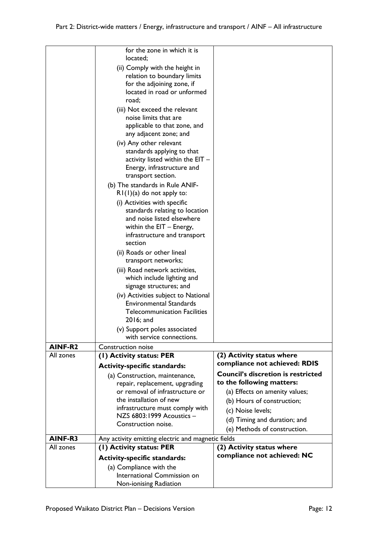|                      | International Commission on                                                    |                                           |
|----------------------|--------------------------------------------------------------------------------|-------------------------------------------|
|                      | <b>Activity-specific standards:</b><br>(a) Compliance with the                 |                                           |
|                      |                                                                                | compliance not achieved: NC               |
| AINF-R3<br>All zones | Any activity emitting electric and magnetic fields<br>(I) Activity status: PER | (2) Activity status where                 |
|                      |                                                                                | (e) Methods of construction.              |
|                      | Construction noise.                                                            | (d) Timing and duration; and              |
|                      | infrastructure must comply with<br>NZS 6803:1999 Acoustics -                   | (c) Noise levels;                         |
|                      | the installation of new                                                        | (b) Hours of construction;                |
|                      | or removal of infrastructure or                                                | (a) Effects on amenity values;            |
|                      | repair, replacement, upgrading                                                 | to the following matters:                 |
|                      | (a) Construction, maintenance,                                                 | <b>Council's discretion is restricted</b> |
|                      | <b>Activity-specific standards:</b>                                            | compliance not achieved: RDIS             |
| All zones            | (1) Activity status: PER                                                       | (2) Activity status where                 |
| AINF-R2              | <b>Construction noise</b>                                                      |                                           |
|                      | (v) Support poles associated<br>with service connections.                      |                                           |
|                      | $2016$ ; and                                                                   |                                           |
|                      | <b>Telecommunication Facilities</b>                                            |                                           |
|                      | (iv) Activities subject to National<br><b>Environmental Standards</b>          |                                           |
|                      | signage structures; and                                                        |                                           |
|                      | which include lighting and                                                     |                                           |
|                      | (iii) Road network activities,                                                 |                                           |
|                      | transport networks;                                                            |                                           |
|                      | (ii) Roads or other lineal                                                     |                                           |
|                      | infrastructure and transport<br>section                                        |                                           |
|                      | within the EIT - Energy,                                                       |                                           |
|                      | and noise listed elsewhere                                                     |                                           |
|                      | (i) Activities with specific<br>standards relating to location                 |                                           |
|                      | $RI(I)(a)$ do not apply to:                                                    |                                           |
|                      | (b) The standards in Rule ANIF-                                                |                                           |
|                      | transport section.                                                             |                                           |
|                      | Energy, infrastructure and                                                     |                                           |
|                      | standards applying to that<br>activity listed within the EIT -                 |                                           |
|                      | (iv) Any other relevant                                                        |                                           |
|                      | any adjacent zone; and                                                         |                                           |
|                      | applicable to that zone, and                                                   |                                           |
|                      | (iii) Not exceed the relevant<br>noise limits that are                         |                                           |
|                      | road;                                                                          |                                           |
|                      | located in road or unformed                                                    |                                           |
|                      | for the adjoining zone, if                                                     |                                           |
|                      | (ii) Comply with the height in<br>relation to boundary limits                  |                                           |
|                      | located;                                                                       |                                           |
|                      | for the zone in which it is                                                    |                                           |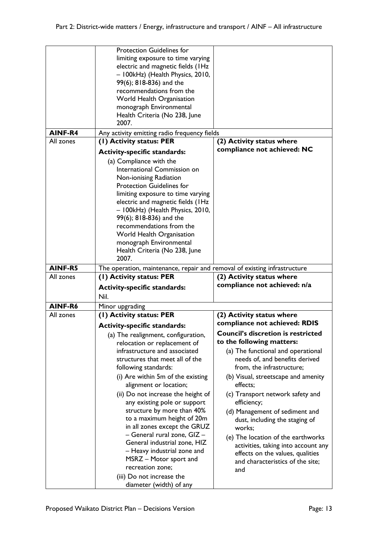|           | <b>Protection Guidelines for</b><br>limiting exposure to time varying<br>electric and magnetic fields (IHz<br>- 100kHz) (Health Physics, 2010,<br>99(6); 818-836) and the<br>recommendations from the<br>World Health Organisation<br>monograph Environmental<br>Health Criteria (No 238, June<br>2007. |                                                             |
|-----------|---------------------------------------------------------------------------------------------------------------------------------------------------------------------------------------------------------------------------------------------------------------------------------------------------------|-------------------------------------------------------------|
| AINF-R4   | Any activity emitting radio frequency fields                                                                                                                                                                                                                                                            |                                                             |
| All zones | (1) Activity status: PER                                                                                                                                                                                                                                                                                | (2) Activity status where                                   |
|           | <b>Activity-specific standards:</b>                                                                                                                                                                                                                                                                     | compliance not achieved: NC                                 |
|           | (a) Compliance with the                                                                                                                                                                                                                                                                                 |                                                             |
|           | International Commission on                                                                                                                                                                                                                                                                             |                                                             |
|           | Non-ionising Radiation                                                                                                                                                                                                                                                                                  |                                                             |
|           | <b>Protection Guidelines for</b>                                                                                                                                                                                                                                                                        |                                                             |
|           | limiting exposure to time varying                                                                                                                                                                                                                                                                       |                                                             |
|           | electric and magnetic fields (IHz                                                                                                                                                                                                                                                                       |                                                             |
|           | - 100kHz) (Health Physics, 2010,                                                                                                                                                                                                                                                                        |                                                             |
|           | 99(6); 818-836) and the                                                                                                                                                                                                                                                                                 |                                                             |
|           | recommendations from the                                                                                                                                                                                                                                                                                |                                                             |
|           | World Health Organisation                                                                                                                                                                                                                                                                               |                                                             |
|           | monograph Environmental                                                                                                                                                                                                                                                                                 |                                                             |
|           | Health Criteria (No 238, June<br>2007.                                                                                                                                                                                                                                                                  |                                                             |
| AINF-R5   |                                                                                                                                                                                                                                                                                                         |                                                             |
| All zones | The operation, maintenance, repair and removal of existing infrastructure<br>(1) Activity status: PER                                                                                                                                                                                                   | (2) Activity status where                                   |
|           |                                                                                                                                                                                                                                                                                                         | compliance not achieved: n/a                                |
|           | <b>Activity-specific standards:</b>                                                                                                                                                                                                                                                                     |                                                             |
|           | Nil.                                                                                                                                                                                                                                                                                                    |                                                             |
| AINF-R6   | Minor upgrading                                                                                                                                                                                                                                                                                         |                                                             |
| All zones | (I) Activity status: PER                                                                                                                                                                                                                                                                                | (2) Activity status where                                   |
|           | <b>Activity-specific standards:</b>                                                                                                                                                                                                                                                                     | compliance not achieved: RDIS                               |
|           | (a) The realignment, configuration,                                                                                                                                                                                                                                                                     | <b>Council's discretion is restricted</b>                   |
|           | relocation or replacement of                                                                                                                                                                                                                                                                            | to the following matters:                                   |
|           | infrastructure and associated<br>structures that meet all of the                                                                                                                                                                                                                                        | (a) The functional and operational                          |
|           | following standards:                                                                                                                                                                                                                                                                                    | needs of, and benefits derived<br>from, the infrastructure; |
|           | (i) Are within 5m of the existing                                                                                                                                                                                                                                                                       | (b) Visual, streetscape and amenity                         |
|           | alignment or location;                                                                                                                                                                                                                                                                                  | effects;                                                    |
|           | (ii) Do not increase the height of                                                                                                                                                                                                                                                                      | (c) Transport network safety and                            |
|           | any existing pole or support                                                                                                                                                                                                                                                                            | efficiency;                                                 |
|           | structure by more than 40%                                                                                                                                                                                                                                                                              | (d) Management of sediment and                              |
|           | to a maximum height of 20m                                                                                                                                                                                                                                                                              | dust, including the staging of                              |
|           | in all zones except the GRUZ                                                                                                                                                                                                                                                                            | works;                                                      |
|           | - General rural zone, GIZ-                                                                                                                                                                                                                                                                              | (e) The location of the earthworks                          |
|           | General industrial zone, HIZ                                                                                                                                                                                                                                                                            | activities, taking into account any                         |
|           | - Heavy industrial zone and                                                                                                                                                                                                                                                                             | effects on the values, qualities                            |
|           | MSRZ - Motor sport and<br>recreation zone;                                                                                                                                                                                                                                                              | and characteristics of the site;                            |
|           |                                                                                                                                                                                                                                                                                                         | and                                                         |
|           | (iii) Do not increase the<br>diameter (width) of any                                                                                                                                                                                                                                                    |                                                             |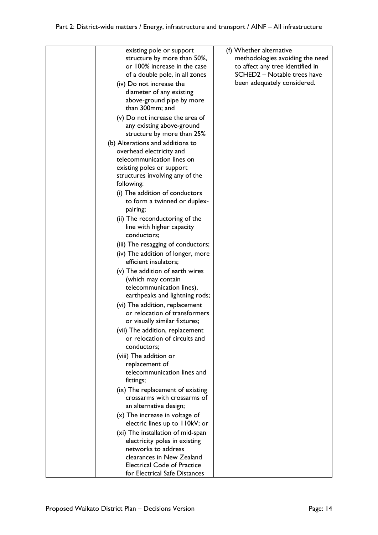| existing pole or support<br>structure by more than 50%,<br>or 100% increase in the case<br>of a double pole, in all zones<br>(iv) Do not increase the<br>diameter of any existing<br>above-ground pipe by more<br>than 300mm; and<br>(v) Do not increase the area of<br>any existing above-ground<br>structure by more than 25%<br>(b) Alterations and additions to<br>overhead electricity and<br>telecommunication lines on<br>existing poles or support<br>structures involving any of the<br>following:<br>(i) The addition of conductors<br>to form a twinned or duplex-<br>pairing;<br>(ii) The reconductoring of the<br>line with higher capacity<br>conductors;<br>(iii) The resagging of conductors;<br>(iv) The addition of longer, more<br>efficient insulators;<br>(v) The addition of earth wires<br>(which may contain<br>telecommunication lines),<br>earthpeaks and lightning rods;<br>(vi) The addition, replacement<br>or relocation of transformers<br>or visually similar fixtures;<br>(vii) The addition, replacement<br>or relocation of circuits and<br>conductors;<br>(viii) The addition or<br>replacement of<br>telecommunication lines and<br>fittings;<br>(ix) The replacement of existing<br>crossarms with crossarms of<br>an alternative design; | (f) Whether alternative<br>methodologies avoiding the need<br>to affect any tree identified in<br>SCHED2 - Notable trees have<br>been adequately considered. |
|---------------------------------------------------------------------------------------------------------------------------------------------------------------------------------------------------------------------------------------------------------------------------------------------------------------------------------------------------------------------------------------------------------------------------------------------------------------------------------------------------------------------------------------------------------------------------------------------------------------------------------------------------------------------------------------------------------------------------------------------------------------------------------------------------------------------------------------------------------------------------------------------------------------------------------------------------------------------------------------------------------------------------------------------------------------------------------------------------------------------------------------------------------------------------------------------------------------------------------------------------------------------------------|--------------------------------------------------------------------------------------------------------------------------------------------------------------|
|                                                                                                                                                                                                                                                                                                                                                                                                                                                                                                                                                                                                                                                                                                                                                                                                                                                                                                                                                                                                                                                                                                                                                                                                                                                                                 |                                                                                                                                                              |
| $(x)$ The increase in voltage of<br>electric lines up to 110kV; or                                                                                                                                                                                                                                                                                                                                                                                                                                                                                                                                                                                                                                                                                                                                                                                                                                                                                                                                                                                                                                                                                                                                                                                                              |                                                                                                                                                              |
| (xi) The installation of mid-span<br>electricity poles in existing<br>networks to address<br>clearances in New Zealand<br><b>Electrical Code of Practice</b><br>for Electrical Safe Distances                                                                                                                                                                                                                                                                                                                                                                                                                                                                                                                                                                                                                                                                                                                                                                                                                                                                                                                                                                                                                                                                                   |                                                                                                                                                              |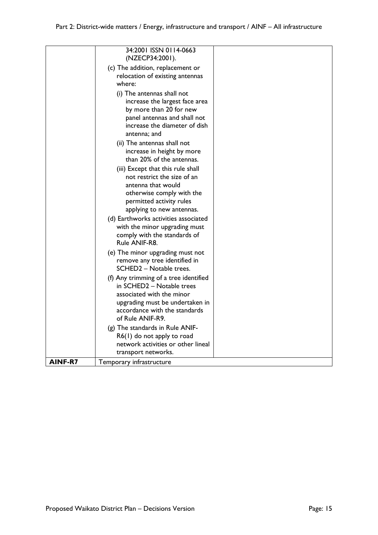|                | 34:2001 ISSN 0114-0663<br>(NZECP34:2001).<br>(c) The addition, replacement or<br>relocation of existing antennas<br>where:<br>(i) The antennas shall not<br>increase the largest face area<br>by more than 20 for new<br>panel antennas and shall not<br>increase the diameter of dish<br>antenna; and<br>(ii) The antennas shall not<br>increase in height by more<br>than 20% of the antennas.<br>(iii) Except that this rule shall<br>not restrict the size of an<br>antenna that would<br>otherwise comply with the<br>permitted activity rules<br>applying to new antennas.<br>(d) Earthworks activities associated<br>with the minor upgrading must<br>comply with the standards of |  |
|----------------|-------------------------------------------------------------------------------------------------------------------------------------------------------------------------------------------------------------------------------------------------------------------------------------------------------------------------------------------------------------------------------------------------------------------------------------------------------------------------------------------------------------------------------------------------------------------------------------------------------------------------------------------------------------------------------------------|--|
|                | Rule ANIF-R8.<br>(e) The minor upgrading must not<br>remove any tree identified in<br>SCHED2 - Notable trees.<br>(f) Any trimming of a tree identified                                                                                                                                                                                                                                                                                                                                                                                                                                                                                                                                    |  |
|                | in SCHED2 - Notable trees<br>associated with the minor<br>upgrading must be undertaken in<br>accordance with the standards<br>of Rule ANIF-R9.                                                                                                                                                                                                                                                                                                                                                                                                                                                                                                                                            |  |
| <b>AINF-R7</b> | (g) The standards in Rule ANIF-<br>R6(1) do not apply to road<br>network activities or other lineal<br>transport networks.<br>Temporary infrastructure                                                                                                                                                                                                                                                                                                                                                                                                                                                                                                                                    |  |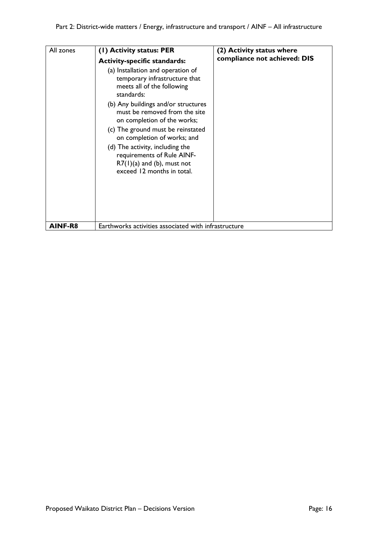| All zones | (1) Activity status: PER<br><b>Activity-specific standards:</b><br>(a) Installation and operation of<br>temporary infrastructure that<br>meets all of the following<br>standards:<br>(b) Any buildings and/or structures<br>must be removed from the site<br>on completion of the works;<br>(c) The ground must be reinstated<br>on completion of works; and<br>(d) The activity, including the<br>requirements of Rule AINF-<br>$R7(1)(a)$ and (b), must not<br>exceed 12 months in total. | (2) Activity status where<br>compliance not achieved: DIS |
|-----------|---------------------------------------------------------------------------------------------------------------------------------------------------------------------------------------------------------------------------------------------------------------------------------------------------------------------------------------------------------------------------------------------------------------------------------------------------------------------------------------------|-----------------------------------------------------------|
| AINF-R8   | Earthworks activities associated with infrastructure                                                                                                                                                                                                                                                                                                                                                                                                                                        |                                                           |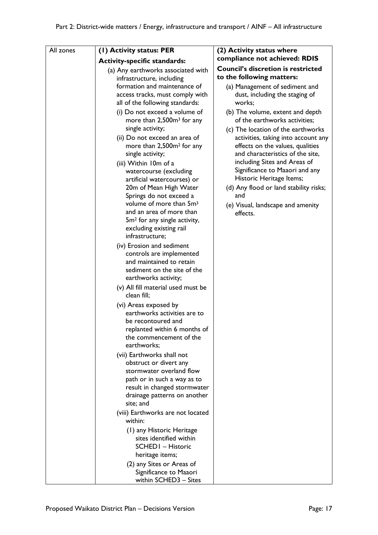| All zones | (I) Activity status: PER                                                                                                                                                                                                                                                                                                                                                                                                                                                                                                                                                                             | (2) Activity status where                                                                                                                                                                                                                                                                                                                         |
|-----------|------------------------------------------------------------------------------------------------------------------------------------------------------------------------------------------------------------------------------------------------------------------------------------------------------------------------------------------------------------------------------------------------------------------------------------------------------------------------------------------------------------------------------------------------------------------------------------------------------|---------------------------------------------------------------------------------------------------------------------------------------------------------------------------------------------------------------------------------------------------------------------------------------------------------------------------------------------------|
|           | <b>Activity-specific standards:</b>                                                                                                                                                                                                                                                                                                                                                                                                                                                                                                                                                                  | compliance not achieved: RDIS                                                                                                                                                                                                                                                                                                                     |
|           | (a) Any earthworks associated with<br>infrastructure, including                                                                                                                                                                                                                                                                                                                                                                                                                                                                                                                                      | <b>Council's discretion is restricted</b><br>to the following matters:                                                                                                                                                                                                                                                                            |
|           | formation and maintenance of<br>access tracks, must comply with<br>all of the following standards:                                                                                                                                                                                                                                                                                                                                                                                                                                                                                                   | (a) Management of sediment and<br>dust, including the staging of<br>works:                                                                                                                                                                                                                                                                        |
|           | (i) Do not exceed a volume of<br>more than 2,500m <sup>3</sup> for any                                                                                                                                                                                                                                                                                                                                                                                                                                                                                                                               | (b) The volume, extent and depth<br>of the earthworks activities;                                                                                                                                                                                                                                                                                 |
|           | single activity;<br>(ii) Do not exceed an area of<br>more than 2,500m <sup>2</sup> for any<br>single activity;<br>(iii) Within 10m of a<br>watercourse (excluding<br>artificial watercourses) or<br>20m of Mean High Water<br>Springs do not exceed a<br>volume of more than 5m <sup>3</sup><br>and an area of more than<br>5m <sup>2</sup> for any single activity,<br>excluding existing rail<br>infrastructure;<br>(iv) Erosion and sediment<br>controls are implemented<br>and maintained to retain<br>sediment on the site of the<br>earthworks activity;<br>(v) All fill material used must be | (c) The location of the earthworks<br>activities, taking into account any<br>effects on the values, qualities<br>and characteristics of the site,<br>including Sites and Areas of<br>Significance to Maaori and any<br>Historic Heritage Items;<br>(d) Any flood or land stability risks;<br>and<br>(e) Visual, landscape and amenity<br>effects. |
|           | clean fill;<br>(vi) Areas exposed by<br>earthworks activities are to<br>be recontoured and<br>replanted within 6 months of<br>the commencement of the<br>earthworks;                                                                                                                                                                                                                                                                                                                                                                                                                                 |                                                                                                                                                                                                                                                                                                                                                   |
|           | (vii) Earthworks shall not<br>obstruct or divert any<br>stormwater overland flow<br>path or in such a way as to<br>result in changed stormwater<br>drainage patterns on another<br>site; and<br>(viii) Earthworks are not located                                                                                                                                                                                                                                                                                                                                                                    |                                                                                                                                                                                                                                                                                                                                                   |
|           | within:<br>(1) any Historic Heritage<br>sites identified within<br><b>SCHEDI - Historic</b><br>heritage items;<br>(2) any Sites or Areas of<br>Significance to Maaori<br>within SCHED3 - Sites                                                                                                                                                                                                                                                                                                                                                                                                       |                                                                                                                                                                                                                                                                                                                                                   |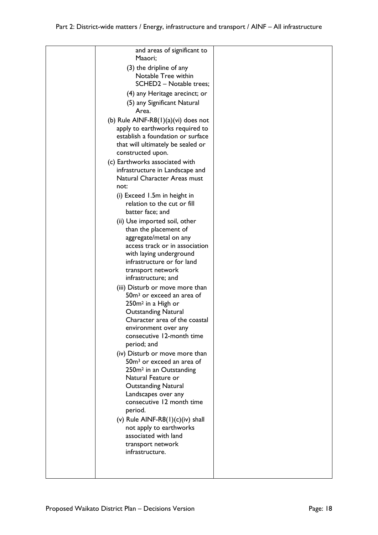| and areas of significant to<br>Maaori;                                                                                                                                                                                                                                                                                                                                                                                                                                                                                                                                       |  |
|------------------------------------------------------------------------------------------------------------------------------------------------------------------------------------------------------------------------------------------------------------------------------------------------------------------------------------------------------------------------------------------------------------------------------------------------------------------------------------------------------------------------------------------------------------------------------|--|
| (3) the dripline of any                                                                                                                                                                                                                                                                                                                                                                                                                                                                                                                                                      |  |
| Notable Tree within<br>SCHED2 - Notable trees;                                                                                                                                                                                                                                                                                                                                                                                                                                                                                                                               |  |
| (4) any Heritage arecinct; or                                                                                                                                                                                                                                                                                                                                                                                                                                                                                                                                                |  |
| (5) any Significant Natural<br>Area.                                                                                                                                                                                                                                                                                                                                                                                                                                                                                                                                         |  |
| (b) Rule AINF-R8 $(1)(a)(vi)$ does not<br>apply to earthworks required to<br>establish a foundation or surface<br>that will ultimately be sealed or<br>constructed upon.                                                                                                                                                                                                                                                                                                                                                                                                     |  |
| (c) Earthworks associated with<br>infrastructure in Landscape and<br>Natural Character Areas must                                                                                                                                                                                                                                                                                                                                                                                                                                                                            |  |
| not:<br>(i) Exceed 1.5m in height in<br>relation to the cut or fill<br>batter face; and                                                                                                                                                                                                                                                                                                                                                                                                                                                                                      |  |
| (ii) Use imported soil, other<br>than the placement of<br>aggregate/metal on any<br>access track or in association<br>with laying underground<br>infrastructure or for land<br>transport network<br>infrastructure; and                                                                                                                                                                                                                                                                                                                                                      |  |
| (iii) Disturb or move more than<br>50m <sup>3</sup> or exceed an area of<br>250m <sup>2</sup> in a High or<br><b>Outstanding Natural</b><br>Character area of the coastal<br>environment over any<br>consecutive 12-month time<br>period; and<br>(iv) Disturb or move more than<br>50m <sup>3</sup> or exceed an area of<br>250m <sup>2</sup> in an Outstanding<br>Natural Feature or<br><b>Outstanding Natural</b><br>Landscapes over any<br>consecutive 12 month time<br>period.<br>(v) Rule AINF-R8 $(1)(c)(iv)$ shall<br>not apply to earthworks<br>associated with land |  |
| transport network<br>infrastructure.                                                                                                                                                                                                                                                                                                                                                                                                                                                                                                                                         |  |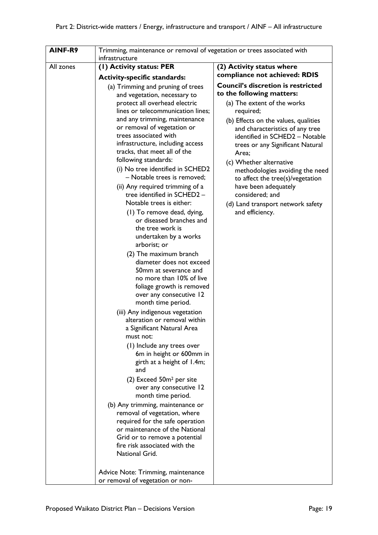| (I) Activity status: PER<br>All zones<br>(2) Activity status where<br>compliance not achieved: RDIS<br><b>Activity-specific standards:</b><br><b>Council's discretion is restricted</b><br>(a) Trimming and pruning of trees<br>to the following matters:<br>and vegetation, necessary to<br>protect all overhead electric<br>(a) The extent of the works<br>lines or telecommunication lines;<br>required;<br>and any trimming, maintenance<br>(b) Effects on the values, qualities<br>or removal of vegetation or<br>and characteristics of any tree<br>trees associated with<br>identified in SCHED2 - Notable<br>infrastructure, including access<br>trees or any Significant Natural<br>tracks, that meet all of the<br>Area;<br>following standards:<br>(c) Whether alternative<br>(i) No tree identified in SCHED2<br>methodologies avoiding the need<br>- Notable trees is removed;<br>to affect the tree(s)/vegetation<br>(ii) Any required trimming of a<br>have been adequately<br>tree identified in SCHED2 -<br>considered; and<br>Notable trees is either:<br>(d) Land transport network safety<br>and efficiency.<br>(1) To remove dead, dying,<br>or diseased branches and<br>the tree work is<br>undertaken by a works<br>arborist; or<br>(2) The maximum branch<br>diameter does not exceed<br>50mm at severance and<br>no more than 10% of live<br>foliage growth is removed<br>over any consecutive 12<br>month time period.<br>(iii) Any indigenous vegetation<br>alteration or removal within<br>a Significant Natural Area<br>must not: |
|----------------------------------------------------------------------------------------------------------------------------------------------------------------------------------------------------------------------------------------------------------------------------------------------------------------------------------------------------------------------------------------------------------------------------------------------------------------------------------------------------------------------------------------------------------------------------------------------------------------------------------------------------------------------------------------------------------------------------------------------------------------------------------------------------------------------------------------------------------------------------------------------------------------------------------------------------------------------------------------------------------------------------------------------------------------------------------------------------------------------------------------------------------------------------------------------------------------------------------------------------------------------------------------------------------------------------------------------------------------------------------------------------------------------------------------------------------------------------------------------------------------------------------------------------------------|
|                                                                                                                                                                                                                                                                                                                                                                                                                                                                                                                                                                                                                                                                                                                                                                                                                                                                                                                                                                                                                                                                                                                                                                                                                                                                                                                                                                                                                                                                                                                                                                |
|                                                                                                                                                                                                                                                                                                                                                                                                                                                                                                                                                                                                                                                                                                                                                                                                                                                                                                                                                                                                                                                                                                                                                                                                                                                                                                                                                                                                                                                                                                                                                                |
| (1) Include any trees over<br>6m in height or 600mm in<br>girth at a height of 1.4m;<br>and<br>(2) Exceed 50m <sup>2</sup> per site<br>over any consecutive 12<br>month time period.<br>(b) Any trimming, maintenance or<br>removal of vegetation, where<br>required for the safe operation                                                                                                                                                                                                                                                                                                                                                                                                                                                                                                                                                                                                                                                                                                                                                                                                                                                                                                                                                                                                                                                                                                                                                                                                                                                                    |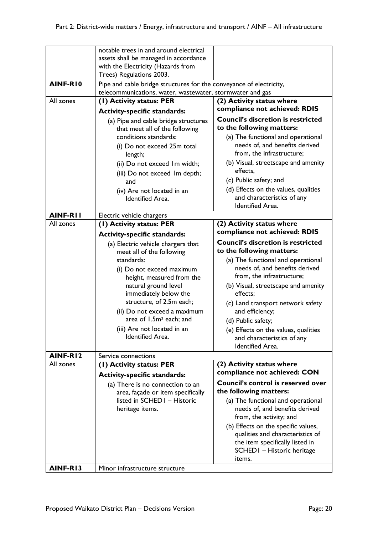|           | notable trees in and around electrical                                      |                                                                        |
|-----------|-----------------------------------------------------------------------------|------------------------------------------------------------------------|
|           | assets shall be managed in accordance<br>with the Electricity (Hazards from |                                                                        |
|           | Trees) Regulations 2003.                                                    |                                                                        |
| AINF-RIO  | Pipe and cable bridge structures for the conveyance of electricity,         |                                                                        |
|           | telecommunications, water, wastewater, stormwater and gas                   |                                                                        |
| All zones | (1) Activity status: PER                                                    | (2) Activity status where                                              |
|           | <b>Activity-specific standards:</b>                                         | compliance not achieved: RDIS                                          |
|           | (a) Pipe and cable bridge structures<br>that meet all of the following      | <b>Council's discretion is restricted</b><br>to the following matters: |
|           | conditions standards:                                                       | (a) The functional and operational                                     |
|           | (i) Do not exceed 25m total                                                 | needs of, and benefits derived                                         |
|           | length;                                                                     | from, the infrastructure;                                              |
|           | (ii) Do not exceed Im width;                                                | (b) Visual, streetscape and amenity                                    |
|           | (iii) Do not exceed Im depth;                                               | effects,                                                               |
|           | and                                                                         | (c) Public safety; and                                                 |
|           | (iv) Are not located in an                                                  | (d) Effects on the values, qualities                                   |
|           | <b>Identified Area.</b>                                                     | and characteristics of any<br><b>Identified Area.</b>                  |
| AINF-RII  |                                                                             |                                                                        |
| All zones | Electric vehicle chargers<br>(I) Activity status: PER                       | (2) Activity status where                                              |
|           | <b>Activity-specific standards:</b>                                         | compliance not achieved: RDIS                                          |
|           | (a) Electric vehicle chargers that                                          | <b>Council's discretion is restricted</b>                              |
|           | meet all of the following                                                   | to the following matters:                                              |
|           | standards:                                                                  | (a) The functional and operational                                     |
|           | (i) Do not exceed maximum                                                   | needs of, and benefits derived                                         |
|           | height, measured from the                                                   | from, the infrastructure;                                              |
|           | natural ground level                                                        | (b) Visual, streetscape and amenity                                    |
|           | immediately below the<br>structure, of 2.5m each;                           | effects;                                                               |
|           | (ii) Do not exceed a maximum                                                | (c) Land transport network safety<br>and efficiency;                   |
|           | area of 1.5m <sup>2</sup> each; and                                         | (d) Public safety;                                                     |
|           | (iii) Are not located in an                                                 | (e) Effects on the values, qualities                                   |
|           | Identified Area.                                                            | and characteristics of any                                             |
|           |                                                                             | <b>Identified Area.</b>                                                |
| AINF-RI2  | Service connections                                                         |                                                                        |
| All zones | (1) Activity status: PER                                                    | (2) Activity status where                                              |
|           | <b>Activity-specific standards:</b>                                         | compliance not achieved: CON                                           |
|           | (a) There is no connection to an                                            | Council's control is reserved over                                     |
|           | area, façade or item specifically                                           | the following matters:                                                 |
|           | listed in SCHED1 - Historic                                                 | (a) The functional and operational                                     |
|           | heritage items.                                                             | needs of, and benefits derived<br>from, the activity; and              |
|           |                                                                             | (b) Effects on the specific values,                                    |
|           |                                                                             | qualities and characteristics of                                       |
|           |                                                                             | the item specifically listed in                                        |
|           |                                                                             | SCHED I - Historic heritage                                            |
|           |                                                                             | items.                                                                 |
| AINF-RI3  | Minor infrastructure structure                                              |                                                                        |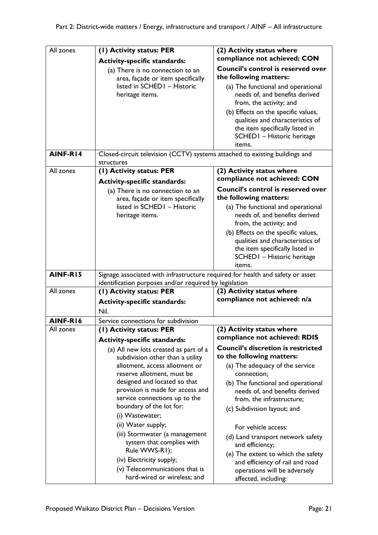| All zones | (1) Activity status: PER<br><b>Activity-specific standards:</b><br>(a) There is no connection to an<br>area, façade or item specifically<br>listed in SCHED1 - Historic<br>heritage items.                                                                                                                                                                                                                                                                                                                                              | (2) Activity status where<br>compliance not achieved: CON<br>Council's control is reserved over<br>the following matters:<br>(a) The functional and operational<br>needs of, and benefits derived                                                                                                                                                                                                                                                                            |
|-----------|-----------------------------------------------------------------------------------------------------------------------------------------------------------------------------------------------------------------------------------------------------------------------------------------------------------------------------------------------------------------------------------------------------------------------------------------------------------------------------------------------------------------------------------------|------------------------------------------------------------------------------------------------------------------------------------------------------------------------------------------------------------------------------------------------------------------------------------------------------------------------------------------------------------------------------------------------------------------------------------------------------------------------------|
|           |                                                                                                                                                                                                                                                                                                                                                                                                                                                                                                                                         | from, the activity; and<br>(b) Effects on the specific values,<br>qualities and characteristics of<br>the item specifically listed in<br>SCHEDI - Historic heritage<br>items.                                                                                                                                                                                                                                                                                                |
| AINF-R14  | Closed-circuit television (CCTV) systems attached to existing buildings and<br>structures                                                                                                                                                                                                                                                                                                                                                                                                                                               |                                                                                                                                                                                                                                                                                                                                                                                                                                                                              |
| All zones | (1) Activity status: PER<br><b>Activity-specific standards:</b>                                                                                                                                                                                                                                                                                                                                                                                                                                                                         | (2) Activity status where<br>compliance not achieved: CON                                                                                                                                                                                                                                                                                                                                                                                                                    |
|           | (a) There is no connection to an<br>area, façade or item specifically                                                                                                                                                                                                                                                                                                                                                                                                                                                                   | <b>Council's control is reserved over</b><br>the following matters:                                                                                                                                                                                                                                                                                                                                                                                                          |
|           | listed in SCHED1 - Historic<br>heritage items.                                                                                                                                                                                                                                                                                                                                                                                                                                                                                          | (a) The functional and operational<br>needs of, and benefits derived<br>from, the activity; and<br>(b) Effects on the specific values,<br>qualities and characteristics of<br>the item specifically listed in<br>SCHEDI - Historic heritage<br>items.                                                                                                                                                                                                                        |
| AINF-RI5  | Signage associated with infrastructure required for health and safety or asset<br>identification purposes and/or required by legislation                                                                                                                                                                                                                                                                                                                                                                                                |                                                                                                                                                                                                                                                                                                                                                                                                                                                                              |
| All zones | (1) Activity status: PER<br><b>Activity-specific standards:</b><br>Nil.                                                                                                                                                                                                                                                                                                                                                                                                                                                                 | (2) Activity status where<br>compliance not achieved: n/a                                                                                                                                                                                                                                                                                                                                                                                                                    |
| AINF-RI6  | Service connections for subdivision                                                                                                                                                                                                                                                                                                                                                                                                                                                                                                     |                                                                                                                                                                                                                                                                                                                                                                                                                                                                              |
| All zones | (1) Activity status: PER                                                                                                                                                                                                                                                                                                                                                                                                                                                                                                                | (2) Activity status where<br>compliance not achieved: RDIS                                                                                                                                                                                                                                                                                                                                                                                                                   |
|           | <b>Activity-specific standards:</b><br>(a) All new lots created as part of a<br>subdivision other than a utility<br>allotment, access allotment or<br>reserve allotment, must be<br>designed and located so that<br>provision is made for access and<br>service connections up to the<br>boundary of the lot for:<br>(i) Wastewater;<br>(ii) Water supply;<br>(iii) Stormwater (a management<br>system that complies with<br>Rule WWS-R1);<br>(iv) Electricity supply;<br>(v) Telecommunications that is<br>hard-wired or wireless; and | <b>Council's discretion is restricted</b><br>to the following matters:<br>(a) The adequacy of the service<br>connection;<br>(b) The functional and operational<br>needs of, and benefits derived<br>from, the infrastructure;<br>(c) Subdivision layout; and<br>For vehicle access:<br>(d) Land transport network safety<br>and efficiency;<br>(e) The extent to which the safety<br>and efficiency of rail and road<br>operations will be adversely<br>affected, including: |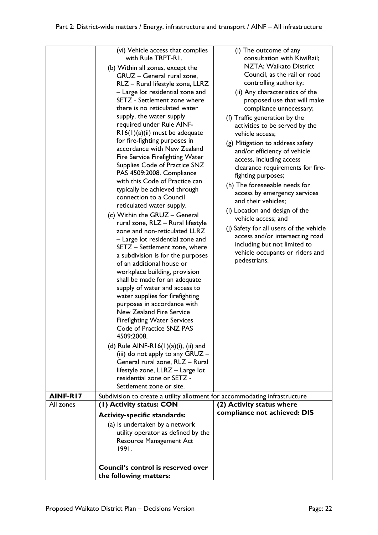|           | (vi) Vehicle access that complies                                                                                                                                                                                                                                                                                                                                                                                                                                                                                                                                                                                                                                                                                                                                                                                                                                                                                                                                                                                                                                                                                                                                                                                                                                                                                                                                  | (i) The outcome of any                                                                                                                                                                                                                                                                                                                                                                                                                                                                                                                                                                                                                                                                                                                                                         |
|-----------|--------------------------------------------------------------------------------------------------------------------------------------------------------------------------------------------------------------------------------------------------------------------------------------------------------------------------------------------------------------------------------------------------------------------------------------------------------------------------------------------------------------------------------------------------------------------------------------------------------------------------------------------------------------------------------------------------------------------------------------------------------------------------------------------------------------------------------------------------------------------------------------------------------------------------------------------------------------------------------------------------------------------------------------------------------------------------------------------------------------------------------------------------------------------------------------------------------------------------------------------------------------------------------------------------------------------------------------------------------------------|--------------------------------------------------------------------------------------------------------------------------------------------------------------------------------------------------------------------------------------------------------------------------------------------------------------------------------------------------------------------------------------------------------------------------------------------------------------------------------------------------------------------------------------------------------------------------------------------------------------------------------------------------------------------------------------------------------------------------------------------------------------------------------|
|           | with Rule TRPT-R1.<br>(b) Within all zones, except the<br>GRUZ - General rural zone,<br>RLZ - Rural lifestyle zone, LLRZ<br>- Large lot residential zone and<br>SETZ - Settlement zone where<br>there is no reticulated water<br>supply, the water supply<br>required under Rule AINF-<br>$R16(1)(a)(ii)$ must be adequate<br>for fire-fighting purposes in<br>accordance with New Zealand<br>Fire Service Firefighting Water<br>Supplies Code of Practice SNZ<br>PAS 4509:2008. Compliance<br>with this Code of Practice can<br>typically be achieved through<br>connection to a Council<br>reticulated water supply.<br>(c) Within the GRUZ - General<br>rural zone, RLZ - Rural lifestyle<br>zone and non-reticulated LLRZ<br>- Large lot residential zone and<br>SETZ - Settlement zone, where<br>a subdivision is for the purposes<br>of an additional house or<br>workplace building, provision<br>shall be made for an adequate<br>supply of water and access to<br>water supplies for firefighting<br>purposes in accordance with<br>New Zealand Fire Service<br><b>Firefighting Water Services</b><br>Code of Practice SNZ PAS<br>4509:2008.<br>(d) Rule AINF-R16(1)(a)(i), (ii) and<br>(iii) do not apply to any GRUZ -<br>General rural zone, RLZ - Rural<br>lifestyle zone, LLRZ - Large lot<br>residential zone or SETZ -<br>Settlement zone or site. | consultation with KiwiRail;<br>NZTA; Waikato District<br>Council, as the rail or road<br>controlling authority;<br>(ii) Any characteristics of the<br>proposed use that will make<br>compliance unnecessary;<br>(f) Traffic generation by the<br>activities to be served by the<br>vehicle access;<br>(g) Mitigation to address safety<br>and/or efficiency of vehicle<br>access, including access<br>clearance requirements for fire-<br>fighting purposes;<br>(h) The foreseeable needs for<br>access by emergency services<br>and their vehicles:<br>(i) Location and design of the<br>vehicle access; and<br>(j) Safety for all users of the vehicle<br>access and/or intersecting road<br>including but not limited to<br>vehicle occupants or riders and<br>pedestrians. |
| AINF-R17  | Subdivision to create a utility allotment for accommodating infrastructure                                                                                                                                                                                                                                                                                                                                                                                                                                                                                                                                                                                                                                                                                                                                                                                                                                                                                                                                                                                                                                                                                                                                                                                                                                                                                         |                                                                                                                                                                                                                                                                                                                                                                                                                                                                                                                                                                                                                                                                                                                                                                                |
| All zones | (1) Activity status: CON                                                                                                                                                                                                                                                                                                                                                                                                                                                                                                                                                                                                                                                                                                                                                                                                                                                                                                                                                                                                                                                                                                                                                                                                                                                                                                                                           | (2) Activity status where                                                                                                                                                                                                                                                                                                                                                                                                                                                                                                                                                                                                                                                                                                                                                      |
|           | <b>Activity-specific standards:</b>                                                                                                                                                                                                                                                                                                                                                                                                                                                                                                                                                                                                                                                                                                                                                                                                                                                                                                                                                                                                                                                                                                                                                                                                                                                                                                                                | compliance not achieved: DIS                                                                                                                                                                                                                                                                                                                                                                                                                                                                                                                                                                                                                                                                                                                                                   |
|           | (a) Is undertaken by a network<br>utility operator as defined by the<br><b>Resource Management Act</b><br>1991.                                                                                                                                                                                                                                                                                                                                                                                                                                                                                                                                                                                                                                                                                                                                                                                                                                                                                                                                                                                                                                                                                                                                                                                                                                                    |                                                                                                                                                                                                                                                                                                                                                                                                                                                                                                                                                                                                                                                                                                                                                                                |
|           | Council's control is reserved over                                                                                                                                                                                                                                                                                                                                                                                                                                                                                                                                                                                                                                                                                                                                                                                                                                                                                                                                                                                                                                                                                                                                                                                                                                                                                                                                 |                                                                                                                                                                                                                                                                                                                                                                                                                                                                                                                                                                                                                                                                                                                                                                                |
|           | the following matters:                                                                                                                                                                                                                                                                                                                                                                                                                                                                                                                                                                                                                                                                                                                                                                                                                                                                                                                                                                                                                                                                                                                                                                                                                                                                                                                                             |                                                                                                                                                                                                                                                                                                                                                                                                                                                                                                                                                                                                                                                                                                                                                                                |